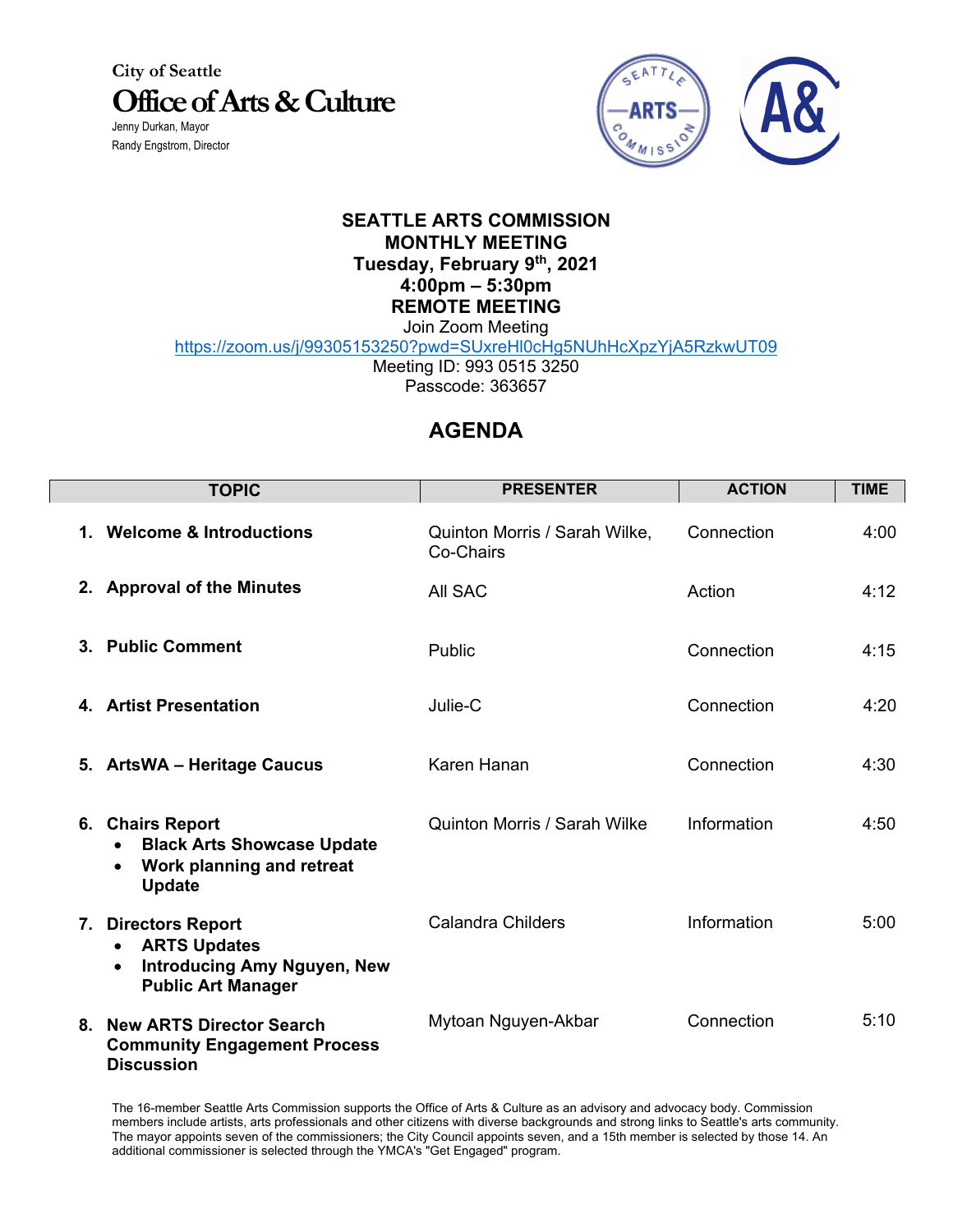**City of Seattle Office of Arts & Culture**

Jenny Durkan, Mayor Randy Engstrom, Director



## **SEATTLE ARTS COMMISSION MONTHLY MEETING Tuesday, February 9th, 2021 4:00pm – 5:30pm REMOTE MEETING** Join Zoom Meeting

https://zoom.us/j/99305153250?pwd=SUxreHl0cHg5NUhHcXpzYjA5RzkwUT09

Meeting ID: 993 0515 3250 Passcode: 363657

## **AGENDA**

| <b>TOPIC</b>                                                                                                                            | <b>PRESENTER</b>                           | <b>ACTION</b> | <b>TIME</b> |
|-----------------------------------------------------------------------------------------------------------------------------------------|--------------------------------------------|---------------|-------------|
| 1. Welcome & Introductions                                                                                                              | Quinton Morris / Sarah Wilke,<br>Co-Chairs | Connection    | 4:00        |
| 2. Approval of the Minutes                                                                                                              | All SAC                                    | Action        | 4:12        |
| 3. Public Comment                                                                                                                       | Public                                     | Connection    | 4:15        |
| 4. Artist Presentation                                                                                                                  | Julie-C                                    | Connection    | 4:20        |
| 5. ArtsWA - Heritage Caucus                                                                                                             | Karen Hanan                                | Connection    | 4:30        |
| 6. Chairs Report<br><b>Black Arts Showcase Update</b><br>Work planning and retreat<br><b>Update</b>                                     | Quinton Morris / Sarah Wilke               | Information   | 4:50        |
| 7. Directors Report<br><b>ARTS Updates</b><br>$\bullet$<br><b>Introducing Amy Nguyen, New</b><br>$\bullet$<br><b>Public Art Manager</b> | <b>Calandra Childers</b>                   | Information   | 5:00        |
| 8. New ARTS Director Search<br><b>Community Engagement Process</b><br><b>Discussion</b>                                                 | Mytoan Nguyen-Akbar                        | Connection    | 5:10        |

The 16-member Seattle Arts Commission supports the Office of Arts & Culture as an advisory and advocacy body. Commission members include artists, arts professionals and other citizens with diverse backgrounds and strong links to Seattle's arts community. The mayor appoints seven of the commissioners; the City Council appoints seven, and a 15th member is selected by those 14. An additional commissioner is selected through the YMCA's "Get Engaged" program.